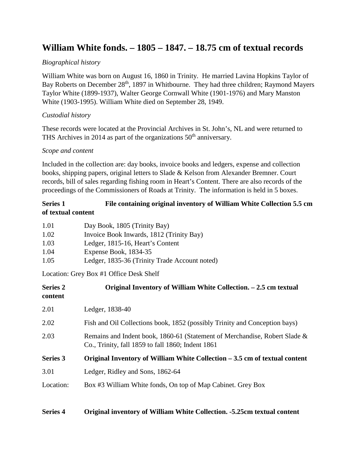# **William White fonds. – 1805 – 1847. – 18.75 cm of textual records**

### *Biographical history*

William White was born on August 16, 1860 in Trinity. He married Lavina Hopkins Taylor of Bay Roberts on December 28<sup>th</sup>, 1897 in Whitbourne. They had three children; Raymond Mayers Taylor White (1899-1937), Walter George Cornwall White (1901-1976) and Mary Manston White (1903-1995). William White died on September 28, 1949.

#### *Custodial history*

These records were located at the Provincial Archives in St. John's, NL and were returned to THS Archives in 2014 as part of the organizations  $50<sup>th</sup>$  anniversary.

#### *Scope and content*

Included in the collection are: day books, invoice books and ledgers, expense and collection books, shipping papers, original letters to Slade & Kelson from Alexander Bremner. Court records, bill of sales regarding fishing room in Heart's Content. There are also records of the proceedings of the Commissioners of Roads at Trinity. The information is held in 5 boxes.

## **Series 1 File containing original inventory of William White Collection 5.5 cm of textual content**

| 1.01 | Day Book, 1805 (Trinity Bay)                  |
|------|-----------------------------------------------|
| 1.02 | Invoice Book Inwards, 1812 (Trinity Bay)      |
| 1.03 | Ledger, 1815-16, Heart's Content              |
| 1.04 | Expense Book, 1834-35                         |
| 1.05 | Ledger, 1835-36 (Trinity Trade Account noted) |

Location: Grey Box #1 Office Desk Shelf

| <b>Series 2</b><br>content | Original Inventory of William White Collection. – 2.5 cm textual                                                                |
|----------------------------|---------------------------------------------------------------------------------------------------------------------------------|
| 2.01                       | Ledger, 1838-40                                                                                                                 |
| 2.02                       | Fish and Oil Collections book, 1852 (possibly Trinity and Conception bays)                                                      |
| 2.03                       | Remains and Indent book, 1860-61 (Statement of Merchandise, Robert Slade &<br>Co., Trinity, fall 1859 to fall 1860; Indent 1861 |
| <b>Series 3</b>            | Original Inventory of William White Collection $-3.5$ cm of textual content                                                     |
| 3.01                       | Ledger, Ridley and Sons, 1862-64                                                                                                |
| Location:                  | Box #3 William White fonds, On top of Map Cabinet. Grey Box                                                                     |

#### **Series 4 Original inventory of William White Collection. -5.25cm textual content**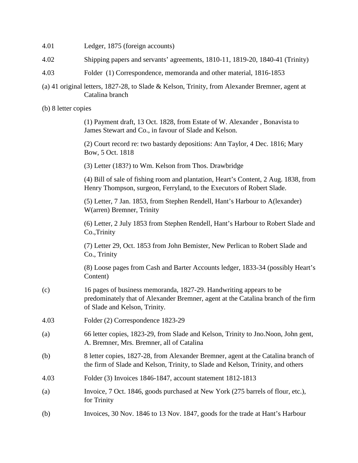| 4.01 |  | Ledger, 1875 (foreign accounts) |
|------|--|---------------------------------|
|      |  |                                 |

- 4.02 Shipping papers and servants' agreements, 1810-11, 1819-20, 1840-41 (Trinity)
- 4.03 Folder (1) Correspondence, memoranda and other material, 1816-1853
- (a) 41 original letters, 1827-28, to Slade & Kelson, Trinity, from Alexander Bremner, agent at Catalina branch
- (b) 8 letter copies

| (1) Payment draft, 13 Oct. 1828, from Estate of W. Alexander, Bonavista to |  |  |
|----------------------------------------------------------------------------|--|--|
| James Stewart and Co., in favour of Slade and Kelson.                      |  |  |

(2) Court record re: two bastardy depositions: Ann Taylor, 4 Dec. 1816; Mary Bow, 5 Oct. 1818

(3) Letter (183?) to Wm. Kelson from Thos. Drawbridge

(4) Bill of sale of fishing room and plantation, Heart's Content, 2 Aug. 1838, from Henry Thompson, surgeon, Ferryland, to the Executors of Robert Slade.

(5) Letter, 7 Jan. 1853, from Stephen Rendell, Hant's Harbour to A(lexander) W(arren) Bremner, Trinity

(6) Letter, 2 July 1853 from Stephen Rendell, Hant's Harbour to Robert Slade and Co.,Trinity

(7) Letter 29, Oct. 1853 from John Bemister, New Perlican to Robert Slade and Co., Trinity

(8) Loose pages from Cash and Barter Accounts ledger, 1833-34 (possibly Heart's Content)

- (c) 16 pages of business memoranda, 1827-29. Handwriting appears to be predominately that of Alexander Bremner, agent at the Catalina branch of the firm of Slade and Kelson, Trinity.
- 4.03 Folder (2) Correspondence 1823-29
- (a) 66 letter copies, 1823-29, from Slade and Kelson, Trinity to Jno.Noon, John gent, A. Bremner, Mrs. Bremner, all of Catalina
- (b) 8 letter copies, 1827-28, from Alexander Bremner, agent at the Catalina branch of the firm of Slade and Kelson, Trinity, to Slade and Kelson, Trinity, and others
- 4.03 Folder (3) Invoices 1846-1847, account statement 1812-1813
- (a) Invoice, 7 Oct. 1846, goods purchased at New York (275 barrels of flour, etc.), for Trinity
- (b) Invoices, 30 Nov. 1846 to 13 Nov. 1847, goods for the trade at Hant's Harbour